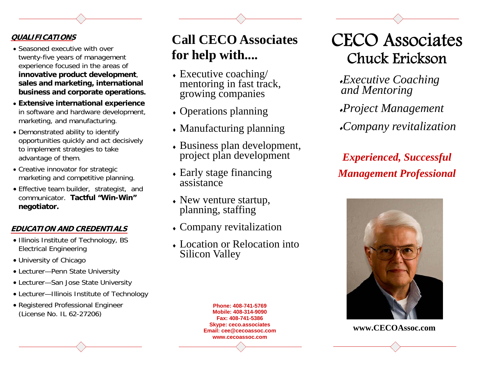### **QUALIFICATIONS**

- Seasoned executive with over twenty-five years of management experience focused in the areas of **innovative product development**, **sales and marketing, international business and corporate operations.**
- **Extensive international experience** in software and hardware development, marketing, and manufacturing.
- Demonstrated ability to identify opportunities quickly and act decisively to implement strategies to take advantage of them.
- Creative innovator for strategic marketing and competitive planning.
- Effective team builder, strategist, and communicator. **Tactful "Win-Win" negotiator.**

### **EDUCATION AND CREDENTIALS**

- Illinois Institute of Technology, BS Electrical Engineering
- University of Chicago
- Lecturer—Penn State University
- Lecturer—San Jose State University
- Lecturer—Illinois Institute of Technology
- Registered Professional Engineer (License No. IL 62-27206)

## **Call CECO Associates for help with....**

- Executive coaching/ mentoring in fast track, growing companies
- Operations planning
- Manufacturing planning
- Business plan development, project plan development
- Early stage financing assistance
- New venture startup, planning, staffing
- Company revitalization
- Location or Relocation into Silicon Valley

CECO Associates Chuck Erickson

*Executive Coaching and Mentoring* 

*Project Management* 

*Company revitalization* 

*Experienced, Successful Management Professional*



**www.CECOAssoc.com** 

**Phone: 408-741-5769 Mobile: 408-314-9090 Fax: 408-741-5386 Skype: ceco.associates Email: cee@cecoassoc.com www.cecoassoc.com**